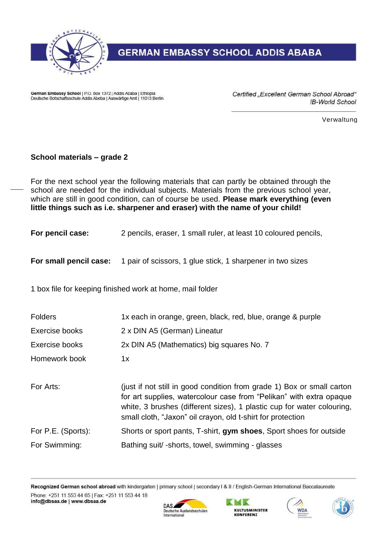

## **GERMAN EMBASSY SCHOOL ADDIS ABABA**

German Embassy School | P.O. Box 1372 | Addis Ababa | Ethiopia Deutsche Botschaftsschule Addis Abeba | Auswärtige Amt | 11013 Berlin Certified "Excellent German School Abroad" IB-World School

Verwaltung

## **School materials – grade 2**

For the next school year the following materials that can partly be obtained through the school are needed for the individual subjects. Materials from the previous school year, which are still in good condition, can of course be used. **Please mark everything (even little things such as i.e. sharpener and eraser) with the name of your child!**

**For pencil case:** 2 pencils, eraser, 1 small ruler, at least 10 coloured pencils,

**For small pencil case:** 1 pair of scissors, 1 glue stick, 1 sharpener in two sizes

1 box file for keeping finished work at home, mail folder

| <b>Folders</b>     | 1x each in orange, green, black, red, blue, orange & purple                                                                                                                                                                                                                            |
|--------------------|----------------------------------------------------------------------------------------------------------------------------------------------------------------------------------------------------------------------------------------------------------------------------------------|
| Exercise books     | 2 x DIN A5 (German) Lineatur                                                                                                                                                                                                                                                           |
| Exercise books     | 2x DIN A5 (Mathematics) big squares No. 7                                                                                                                                                                                                                                              |
| Homework book      | 1x                                                                                                                                                                                                                                                                                     |
| For Arts:          | (just if not still in good condition from grade 1) Box or small carton<br>for art supplies, watercolour case from "Pelikan" with extra opaque<br>white, 3 brushes (different sizes), 1 plastic cup for water colouring,<br>small cloth, "Jaxon" oil crayon, old t-shirt for protection |
| For P.E. (Sports): | Shorts or sport pants, T-shirt, gym shoes, Sport shoes for outside                                                                                                                                                                                                                     |
| For Swimming:      | Bathing suit/-shorts, towel, swimming - glasses                                                                                                                                                                                                                                        |

Recognized German school abroad with kindergarten | primary school | secondary I & II / English-German International Baccalaureate Phone: +251 11 553 44 65 | Fax: +251 11 553 44 18 info@dbsaa.de | www.dbsaa.de